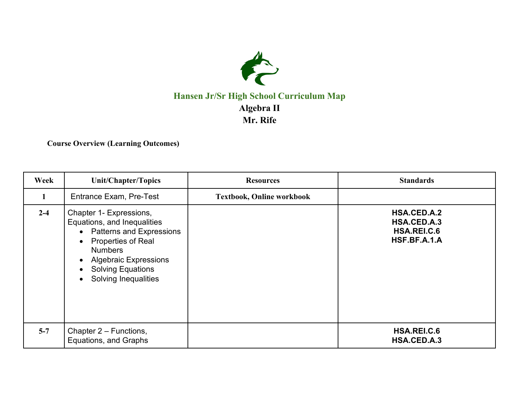

## **Hansen Jr/Sr High School Curriculum Map Algebra II Mr. Rife**

**Course Overview (Learning Outcomes)**

| Week    | Unit/Chapter/Topics                                                                                                                                                                                                                                                         | <b>Resources</b>                 | <b>Standards</b>                                                 |
|---------|-----------------------------------------------------------------------------------------------------------------------------------------------------------------------------------------------------------------------------------------------------------------------------|----------------------------------|------------------------------------------------------------------|
| 1       | Entrance Exam, Pre-Test                                                                                                                                                                                                                                                     | <b>Textbook, Online workbook</b> |                                                                  |
| $2 - 4$ | Chapter 1- Expressions,<br>Equations, and Inequalities<br>• Patterns and Expressions<br><b>Properties of Real</b><br>$\bullet$<br><b>Numbers</b><br><b>Algebraic Expressions</b><br>$\bullet$<br><b>Solving Equations</b><br>$\bullet$<br>Solving Inequalities<br>$\bullet$ |                                  | <b>HSA.CED.A.2</b><br>HSA.CED.A.3<br>HSA.REI.C.6<br>HSF.BF.A.1.A |
| $5 - 7$ | Chapter 2 – Functions,<br>Equations, and Graphs                                                                                                                                                                                                                             |                                  | HSA.REI.C.6<br>HSA.CED.A.3                                       |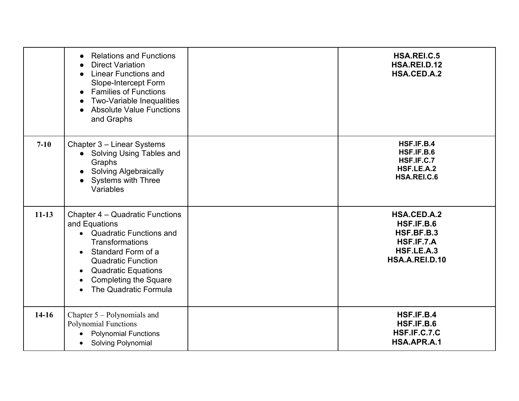|           | <b>Relations and Functions</b><br>$\bullet$<br><b>Direct Variation</b><br>$\bullet$<br><b>Linear Functions and</b><br>$\bullet$<br>Slope-Intercept Form<br><b>Families of Functions</b><br>$\bullet$<br><b>Two-Variable Inequalities</b><br>$\bullet$<br><b>Absolute Value Functions</b><br>$\bullet$<br>and Graphs | HSA.REI.C.5<br>HSA.REI.D.12<br>HSA.CED.A.2                                            |
|-----------|---------------------------------------------------------------------------------------------------------------------------------------------------------------------------------------------------------------------------------------------------------------------------------------------------------------------|---------------------------------------------------------------------------------------|
| $7-10$    | Chapter 3 - Linear Systems<br>Solving Using Tables and<br>Graphs<br><b>Solving Algebraically</b><br><b>Systems with Three</b><br>Variables                                                                                                                                                                          | HSF.IF.B.4<br>HSF.IF.B.6<br>HSF.IF.C.7<br>HSF.LE.A.2<br>HSA.REI.C.6                   |
| $11 - 13$ | Chapter 4 – Quadratic Functions<br>and Equations<br>• Quadratic Functions and<br><b>Transformations</b><br>Standard Form of a<br>$\bullet$<br><b>Quadratic Function</b><br><b>Quadratic Equations</b><br>$\bullet$<br><b>Completing the Square</b><br>$\bullet$<br>The Quadratic Formula<br>$\bullet$               | HSA.CED.A.2<br>HSF.IF.B.6<br>HSF.BF.B.3<br>HSF.IF.7.A<br>HSF.LE.A.3<br>HSA.A.REI.D.10 |
| $14-16$   | Chapter 5 – Polynomials and<br><b>Polynomial Functions</b><br><b>Polynomial Functions</b><br>$\bullet$<br><b>Solving Polynomial</b><br>$\bullet$                                                                                                                                                                    | HSF.IF.B.4<br>HSF.IF.B.6<br>HSF.IF.C.7.C<br>HSA.APR.A.1                               |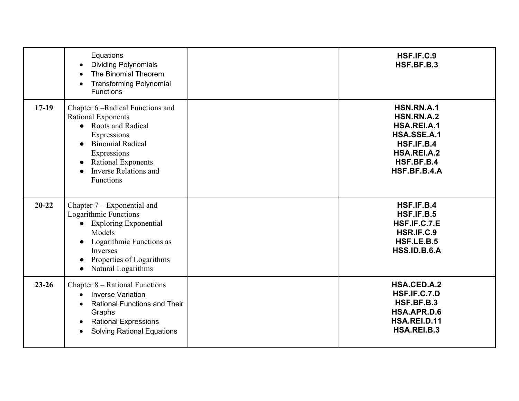|           | Equations<br><b>Dividing Polynomials</b><br>The Binomial Theorem<br><b>Transforming Polynomial</b><br><b>Functions</b>                                                                                                                | HSF.IF.C.9<br>HSF.BF.B.3                                                                                          |
|-----------|---------------------------------------------------------------------------------------------------------------------------------------------------------------------------------------------------------------------------------------|-------------------------------------------------------------------------------------------------------------------|
| $17-19$   | Chapter 6 – Radical Functions and<br><b>Rational Exponents</b><br>• Roots and Radical<br>Expressions<br><b>Binomial Radical</b><br>$\bullet$<br>Expressions<br><b>Rational Exponents</b><br><b>Inverse Relations and</b><br>Functions | HSN.RN.A.1<br>HSN.RN.A.2<br>HSA.REI.A.1<br>HSA.SSE.A.1<br>HSF.IF.B.4<br>HSA.REI.A.2<br>HSF.BF.B.4<br>HSF.BF.B.4.A |
| $20 - 22$ | Chapter 7 – Exponential and<br>Logarithmic Functions<br>• Exploring Exponential<br>Models<br>Logarithmic Functions as<br>$\bullet$<br>Inverses<br>Properties of Logarithms<br>Natural Logarithms<br>$\bullet$                         | HSF.IF.B.4<br>HSF.IF.B.5<br>HSF.IF.C.7.E<br>HSR.IF.C.9<br>HSF.LE.B.5<br>HSS.ID.B.6.A                              |
| $23 - 26$ | Chapter 8 – Rational Functions<br><b>Inverse Variation</b><br><b>Rational Functions and Their</b><br>Graphs<br><b>Rational Expressions</b><br><b>Solving Rational Equations</b><br>$\bullet$                                          | <b>HSA.CED.A.2</b><br>HSF.IF.C.7.D<br>HSF.BF.B.3<br>HSA.APR.D.6<br>HSA.REI.D.11<br>HSA.REI.B.3                    |